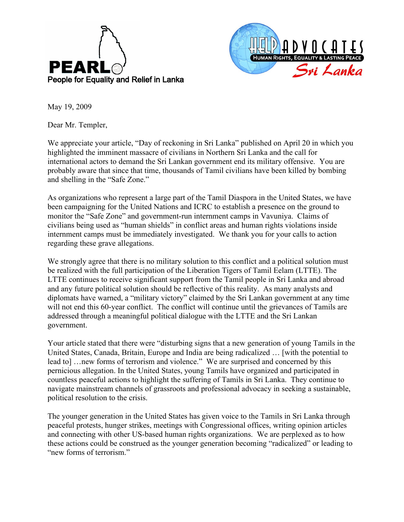



May 19, 2009

Dear Mr. Templer,

We appreciate your article, "Day of reckoning in Sri Lanka" published on April 20 in which you highlighted the imminent massacre of civilians in Northern Sri Lanka and the call for international actors to demand the Sri Lankan government end its military offensive. You are probably aware that since that time, thousands of Tamil civilians have been killed by bombing and shelling in the "Safe Zone."

As organizations who represent a large part of the Tamil Diaspora in the United States, we have been campaigning for the United Nations and ICRC to establish a presence on the ground to monitor the "Safe Zone" and government-run internment camps in Vavuniya. Claims of civilians being used as "human shields" in conflict areas and human rights violations inside internment camps must be immediately investigated. We thank you for your calls to action regarding these grave allegations.

We strongly agree that there is no military solution to this conflict and a political solution must be realized with the full participation of the Liberation Tigers of Tamil Eelam (LTTE). The LTTE continues to receive significant support from the Tamil people in Sri Lanka and abroad and any future political solution should be reflective of this reality. As many analysts and diplomats have warned, a "military victory" claimed by the Sri Lankan government at any time will not end this 60-year conflict. The conflict will continue until the grievances of Tamils are addressed through a meaningful political dialogue with the LTTE and the Sri Lankan government.

Your article stated that there were "disturbing signs that a new generation of young Tamils in the United States, Canada, Britain, Europe and India are being radicalized … [with the potential to lead to] …new forms of terrorism and violence." We are surprised and concerned by this pernicious allegation. In the United States, young Tamils have organized and participated in countless peaceful actions to highlight the suffering of Tamils in Sri Lanka. They continue to navigate mainstream channels of grassroots and professional advocacy in seeking a sustainable, political resolution to the crisis.

The younger generation in the United States has given voice to the Tamils in Sri Lanka through peaceful protests, hunger strikes, meetings with Congressional offices, writing opinion articles and connecting with other US-based human rights organizations. We are perplexed as to how these actions could be construed as the younger generation becoming "radicalized" or leading to "new forms of terrorism."